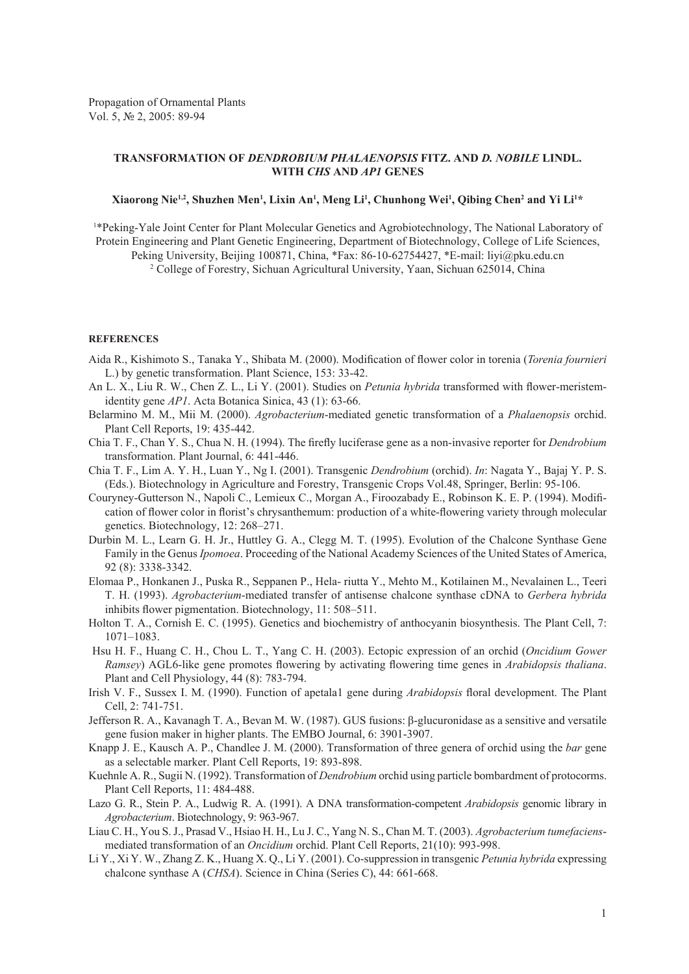## **Transformation of** *Dendrobium phalaenopsis* **fitz. and** *D. nobile* **lindl. with** *CHS* **and** *AP1* **genes**

## **Xiaorong Nie1,2, Shuzhen Men1 , Lixin An1 , Meng Li 1 , Chunhong Wei1 , Qibing Chen2 and Yi Li 1 \***

1 \*Peking-Yale Joint Center for Plant Molecular Genetics and Agrobiotechnology, The National Laboratory of Protein Engineering and Plant Genetic Engineering, Department of Biotechnology, College of Life Sciences, Peking University, Beijing 100871, China, \*Fax: 86-10-62754427, \*E-mail: liyi@pku.edu.cn 2 College of Forestry, Sichuan Agricultural University, Yaan, Sichuan 625014, China

## **References**

- Aida R., Kishimoto S., Tanaka Y., Shibata M. (2000). Modification of flower color in torenia (*Torenia fournieri* L.) by genetic transformation. Plant Science, 153: 33-42.
- An L. X., Liu R. W., Chen Z. L., Li Y. (2001). Studies on *Petunia hybrida* transformed with flower-meristemidentity gene *AP1*. Acta Botanica Sinica, 43 (1): 63-66.
- Belarmino M. M., Mii M. (2000). *Agrobacterium*-mediated genetic transformation of a *Phalaenopsis* orchid. Plant Cell Reports, 19: 435-442.
- Chia T. F., Chan Y. S., Chua N. H. (1994). The firefly luciferase gene as a non-invasive reporter for *Dendrobium* transformation. Plant Journal, 6: 441-446.
- Chia T. F., Lim A. Y. H., Luan Y., Ng I. (2001). Transgenic *Dendrobium* (orchid). *In*: Nagata Y., Bajaj Y. P. S. (Eds.). Biotechnology in Agriculture and Forestry, Transgenic Crops Vol.48, Springer, Berlin: 95-106.
- Couryney-Gutterson N., Napoli C., Lemieux C., Morgan A., Firoozabady E., Robinson K. E. P. (1994). Modification of flower color in florist's chrysanthemum: production of a white-flowering variety through molecular genetics. Biotechnology, 12: 268–271.
- Durbin M. L., Learn G. H. Jr., Huttley G. A., Clegg M. T. (1995). Evolution of the Chalcone Synthase Gene Family in the Genus *Ipomoea*. Proceeding of the National Academy Sciences of the United States of America, 92 (8): 3338-3342.
- Elomaa P., Honkanen J., Puska R., Seppanen P., Hela- riutta Y., Mehto M., Kotilainen M., Nevalainen L., Teeri T. H. (1993). *Agrobacterium*-mediated transfer of antisense chalcone synthase cDNA to *Gerbera hybrida* inhibits flower pigmentation. Biotechnology, 11: 508–511.
- Holton T. A., Cornish E. C. (1995). Genetics and biochemistry of anthocyanin biosynthesis. The Plant Cell, 7: 1071–1083.
- Hsu H. F., Huang C. H., Chou L. T., Yang C. H. (2003). Ectopic expression of an orchid (*Oncidium Gower Ramsey*) AGL6-like gene promotes flowering by activating flowering time genes in *Arabidopsis thaliana*. Plant and Cell Physiology, 44 (8): 783-794.
- Irish V. F., Sussex I. M. (1990). Function of apetala1 gene during *Arabidopsis* floral development. The Plant Cell, 2: 741-751.
- Jefferson R. A., Kavanagh T. A., Bevan M. W. (1987). GUS fusions: β-glucuronidase as a sensitive and versatile gene fusion maker in higher plants. The EMBO Journal, 6: 3901-3907.
- Knapp J. E., Kausch A. P., Chandlee J. M. (2000). Transformation of three genera of orchid using the *bar* gene as a selectable marker. Plant Cell Reports, 19: 893-898.
- Kuehnle A. R., Sugii N. (1992). Transformation of *Dendrobium* orchid using particle bombardment of protocorms. Plant Cell Reports, 11: 484-488.
- Lazo G. R., Stein P. A., Ludwig R. A. (1991). A DNA transformation-competent *Arabidopsis* genomic library in *Agrobacterium*. Biotechnology, 9: 963-967.
- Liau C. H., You S. J., Prasad V., Hsiao H. H., Lu J. C., Yang N. S., Chan M. T. (2003). *Agrobacterium tumefaciens*mediated transformation of an *Oncidium* orchid. Plant Cell Reports, 21(10): 993-998.
- Li Y., Xi Y. W., Zhang Z. K., Huang X. Q., Li Y. (2001). Co-suppression in transgenic *Petunia hybrida* expressing chalcone synthase A (*CHSA*). Science in China (Series C), 44: 661-668.